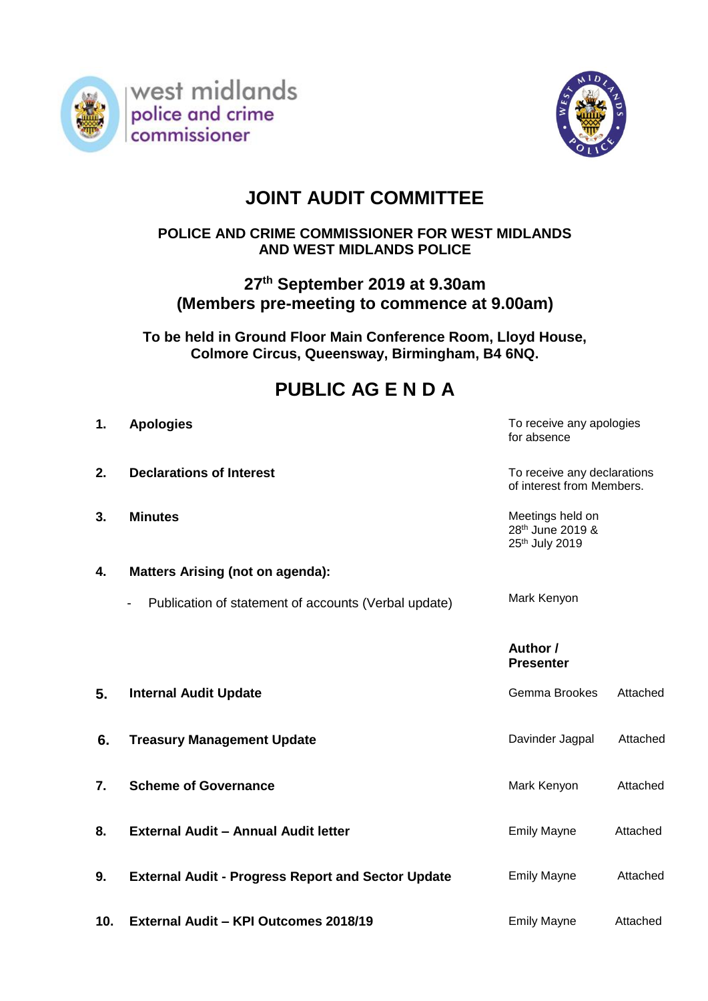



# **JOINT AUDIT COMMITTEE**

### **POLICE AND CRIME COMMISSIONER FOR WEST MIDLANDS AND WEST MIDLANDS POLICE**

## **27 th September 2019 at 9.30am (Members pre-meeting to commence at 9.00am)**

**To be held in Ground Floor Main Conference Room, Lloyd House, Colmore Circus, Queensway, Birmingham, B4 6NQ.**

## **PUBLIC AG E N D A**

| 1.  | <b>Apologies</b>                                          | To receive any apologies<br>for absence                  |          |
|-----|-----------------------------------------------------------|----------------------------------------------------------|----------|
| 2.  | <b>Declarations of Interest</b>                           | To receive any declarations<br>of interest from Members. |          |
| 3.  | <b>Minutes</b>                                            | Meetings held on<br>28th June 2019 &<br>25th July 2019   |          |
| 4.  | <b>Matters Arising (not on agenda):</b>                   |                                                          |          |
|     | Publication of statement of accounts (Verbal update)<br>- | Mark Kenyon                                              |          |
|     |                                                           | Author /<br><b>Presenter</b>                             |          |
| 5.  | <b>Internal Audit Update</b>                              | Gemma Brookes                                            | Attached |
| 6.  | <b>Treasury Management Update</b>                         | Davinder Jagpal                                          | Attached |
| 7.  | <b>Scheme of Governance</b>                               | Mark Kenyon                                              | Attached |
| 8.  | <b>External Audit - Annual Audit letter</b>               | <b>Emily Mayne</b>                                       | Attached |
| 9.  | <b>External Audit - Progress Report and Sector Update</b> | <b>Emily Mayne</b>                                       | Attached |
| 10. | External Audit - KPI Outcomes 2018/19                     | <b>Emily Mayne</b>                                       | Attached |